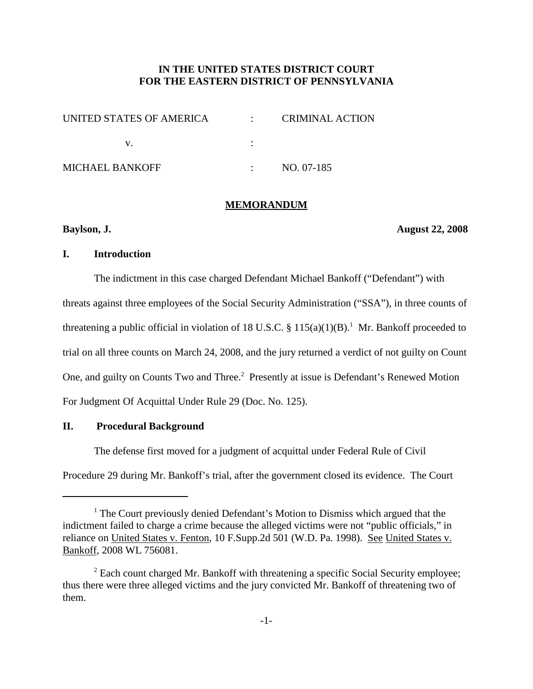# **IN THE UNITED STATES DISTRICT COURT FOR THE EASTERN DISTRICT OF PENNSYLVANIA**

| UNITED STATES OF AMERICA | CRIMINAL ACTION |
|--------------------------|-----------------|
|                          |                 |
| <b>MICHAEL BANKOFF</b>   | NO. 07-185      |

#### **MEMORANDUM**

**Baylson, J. August 22, 2008**

## **I. Introduction**

The indictment in this case charged Defendant Michael Bankoff ("Defendant") with threats against three employees of the Social Security Administration ("SSA"), in three counts of threatening a public official in violation of 18 U.S.C. §  $115(a)(1)(B)$ .<sup>1</sup> Mr. Bankoff proceeded to trial on all three counts on March 24, 2008, and the jury returned a verdict of not guilty on Count One, and guilty on Counts Two and Three.<sup>2</sup> Presently at issue is Defendant's Renewed Motion For Judgment Of Acquittal Under Rule 29 (Doc. No. 125).

# **II. Procedural Background**

The defense first moved for a judgment of acquittal under Federal Rule of Civil

Procedure 29 during Mr. Bankoff's trial, after the government closed its evidence. The Court

<sup>&</sup>lt;sup>1</sup> The Court previously denied Defendant's Motion to Dismiss which argued that the indictment failed to charge a crime because the alleged victims were not "public officials," in reliance on United States v. Fenton, 10 F.Supp.2d 501 (W.D. Pa. 1998). See United States v. Bankoff, 2008 WL 756081.

<sup>&</sup>lt;sup>2</sup> Each count charged Mr. Bankoff with threatening a specific Social Security employee; thus there were three alleged victims and the jury convicted Mr. Bankoff of threatening two of them.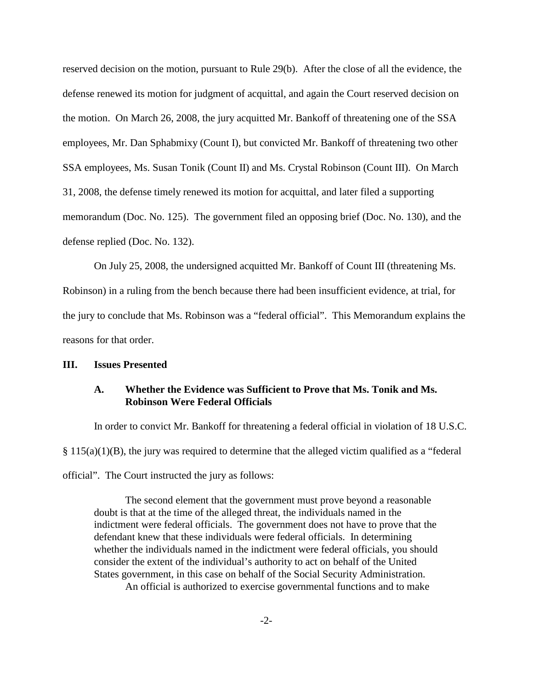reserved decision on the motion, pursuant to Rule 29(b). After the close of all the evidence, the defense renewed its motion for judgment of acquittal, and again the Court reserved decision on the motion. On March 26, 2008, the jury acquitted Mr. Bankoff of threatening one of the SSA employees, Mr. Dan Sphabmixy (Count I), but convicted Mr. Bankoff of threatening two other SSA employees, Ms. Susan Tonik (Count II) and Ms. Crystal Robinson (Count III). On March 31, 2008, the defense timely renewed its motion for acquittal, and later filed a supporting memorandum (Doc. No. 125). The government filed an opposing brief (Doc. No. 130), and the defense replied (Doc. No. 132).

On July 25, 2008, the undersigned acquitted Mr. Bankoff of Count III (threatening Ms. Robinson) in a ruling from the bench because there had been insufficient evidence, at trial, for the jury to conclude that Ms. Robinson was a "federal official". This Memorandum explains the reasons for that order.

## **III. Issues Presented**

# **A. Whether the Evidence was Sufficient to Prove that Ms. Tonik and Ms. Robinson Were Federal Officials**

In order to convict Mr. Bankoff for threatening a federal official in violation of 18 U.S.C.  $§$  115(a)(1)(B), the jury was required to determine that the alleged victim qualified as a "federal" official". The Court instructed the jury as follows:

The second element that the government must prove beyond a reasonable doubt is that at the time of the alleged threat, the individuals named in the indictment were federal officials. The government does not have to prove that the defendant knew that these individuals were federal officials. In determining whether the individuals named in the indictment were federal officials, you should consider the extent of the individual's authority to act on behalf of the United States government, in this case on behalf of the Social Security Administration. An official is authorized to exercise governmental functions and to make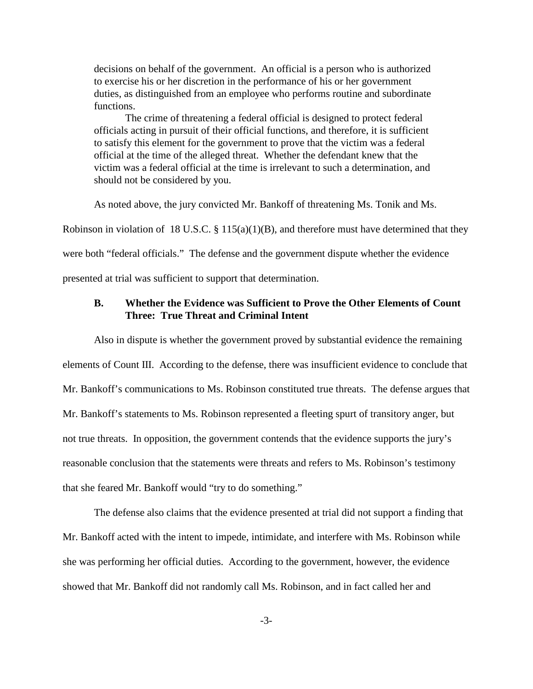decisions on behalf of the government. An official is a person who is authorized to exercise his or her discretion in the performance of his or her government duties, as distinguished from an employee who performs routine and subordinate functions.

The crime of threatening a federal official is designed to protect federal officials acting in pursuit of their official functions, and therefore, it is sufficient to satisfy this element for the government to prove that the victim was a federal official at the time of the alleged threat. Whether the defendant knew that the victim was a federal official at the time is irrelevant to such a determination, and should not be considered by you.

As noted above, the jury convicted Mr. Bankoff of threatening Ms. Tonik and Ms.

Robinson in violation of 18 U.S.C.  $\S$  115(a)(1)(B), and therefore must have determined that they

were both "federal officials." The defense and the government dispute whether the evidence

presented at trial was sufficient to support that determination.

# **B. Whether the Evidence was Sufficient to Prove the Other Elements of Count Three: True Threat and Criminal Intent**

Also in dispute is whether the government proved by substantial evidence the remaining elements of Count III. According to the defense, there was insufficient evidence to conclude that Mr. Bankoff's communications to Ms. Robinson constituted true threats. The defense argues that Mr. Bankoff's statements to Ms. Robinson represented a fleeting spurt of transitory anger, but not true threats. In opposition, the government contends that the evidence supports the jury's reasonable conclusion that the statements were threats and refers to Ms. Robinson's testimony that she feared Mr. Bankoff would "try to do something."

The defense also claims that the evidence presented at trial did not support a finding that Mr. Bankoff acted with the intent to impede, intimidate, and interfere with Ms. Robinson while she was performing her official duties. According to the government, however, the evidence showed that Mr. Bankoff did not randomly call Ms. Robinson, and in fact called her and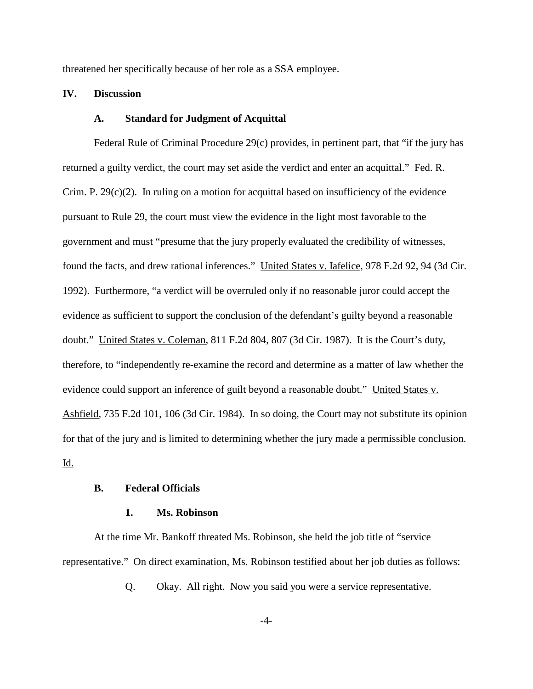threatened her specifically because of her role as a SSA employee.

#### **IV. Discussion**

### **A. Standard for Judgment of Acquittal**

Federal Rule of Criminal Procedure 29(c) provides, in pertinent part, that "if the jury has returned a guilty verdict, the court may set aside the verdict and enter an acquittal." Fed. R. Crim. P.  $29(c)(2)$ . In ruling on a motion for acquittal based on insufficiency of the evidence pursuant to Rule 29, the court must view the evidence in the light most favorable to the government and must "presume that the jury properly evaluated the credibility of witnesses, found the facts, and drew rational inferences." United States v. Iafelice, 978 F.2d 92, 94 (3d Cir. 1992). Furthermore, "a verdict will be overruled only if no reasonable juror could accept the evidence as sufficient to support the conclusion of the defendant's guilty beyond a reasonable doubt." United States v. Coleman, 811 F.2d 804, 807 (3d Cir. 1987). It is the Court's duty, therefore, to "independently re-examine the record and determine as a matter of law whether the evidence could support an inference of guilt beyond a reasonable doubt." United States v. Ashfield, 735 F.2d 101, 106 (3d Cir. 1984). In so doing, the Court may not substitute its opinion for that of the jury and is limited to determining whether the jury made a permissible conclusion. Id.

## **B. Federal Officials**

#### **1. Ms. Robinson**

At the time Mr. Bankoff threated Ms. Robinson, she held the job title of "service representative." On direct examination, Ms. Robinson testified about her job duties as follows:

Q. Okay. All right. Now you said you were a service representative.

-4-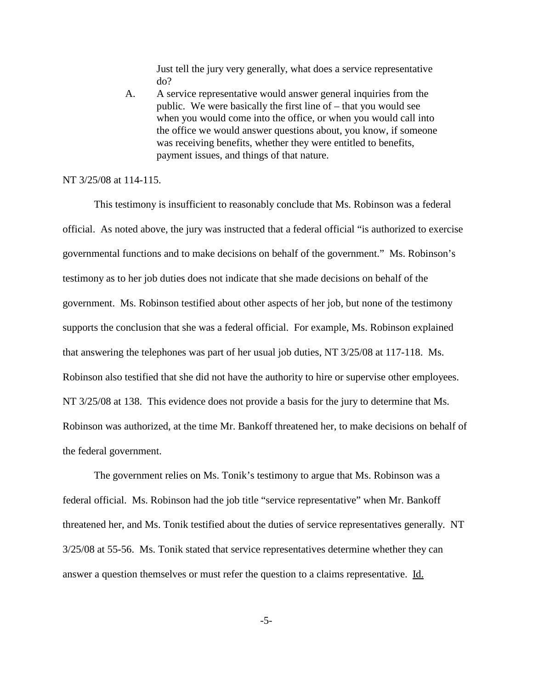Just tell the jury very generally, what does a service representative do?

A. A service representative would answer general inquiries from the public. We were basically the first line of – that you would see when you would come into the office, or when you would call into the office we would answer questions about, you know, if someone was receiving benefits, whether they were entitled to benefits, payment issues, and things of that nature.

NT 3/25/08 at 114-115.

This testimony is insufficient to reasonably conclude that Ms. Robinson was a federal official. As noted above, the jury was instructed that a federal official "is authorized to exercise governmental functions and to make decisions on behalf of the government." Ms. Robinson's testimony as to her job duties does not indicate that she made decisions on behalf of the government. Ms. Robinson testified about other aspects of her job, but none of the testimony supports the conclusion that she was a federal official. For example, Ms. Robinson explained that answering the telephones was part of her usual job duties, NT 3/25/08 at 117-118. Ms. Robinson also testified that she did not have the authority to hire or supervise other employees. NT 3/25/08 at 138. This evidence does not provide a basis for the jury to determine that Ms. Robinson was authorized, at the time Mr. Bankoff threatened her, to make decisions on behalf of the federal government.

The government relies on Ms. Tonik's testimony to argue that Ms. Robinson was a federal official. Ms. Robinson had the job title "service representative" when Mr. Bankoff threatened her, and Ms. Tonik testified about the duties of service representatives generally. NT 3/25/08 at 55-56. Ms. Tonik stated that service representatives determine whether they can answer a question themselves or must refer the question to a claims representative. Id.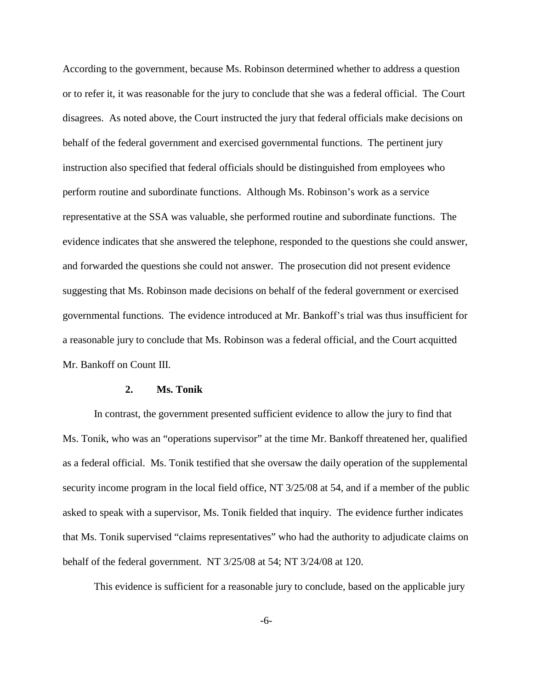According to the government, because Ms. Robinson determined whether to address a question or to refer it, it was reasonable for the jury to conclude that she was a federal official. The Court disagrees. As noted above, the Court instructed the jury that federal officials make decisions on behalf of the federal government and exercised governmental functions. The pertinent jury instruction also specified that federal officials should be distinguished from employees who perform routine and subordinate functions. Although Ms. Robinson's work as a service representative at the SSA was valuable, she performed routine and subordinate functions. The evidence indicates that she answered the telephone, responded to the questions she could answer, and forwarded the questions she could not answer. The prosecution did not present evidence suggesting that Ms. Robinson made decisions on behalf of the federal government or exercised governmental functions. The evidence introduced at Mr. Bankoff's trial was thus insufficient for a reasonable jury to conclude that Ms. Robinson was a federal official, and the Court acquitted Mr. Bankoff on Count III.

## **2. Ms. Tonik**

In contrast, the government presented sufficient evidence to allow the jury to find that Ms. Tonik, who was an "operations supervisor" at the time Mr. Bankoff threatened her, qualified as a federal official. Ms. Tonik testified that she oversaw the daily operation of the supplemental security income program in the local field office, NT 3/25/08 at 54, and if a member of the public asked to speak with a supervisor, Ms. Tonik fielded that inquiry. The evidence further indicates that Ms. Tonik supervised "claims representatives" who had the authority to adjudicate claims on behalf of the federal government. NT 3/25/08 at 54; NT 3/24/08 at 120.

This evidence is sufficient for a reasonable jury to conclude, based on the applicable jury

-6-